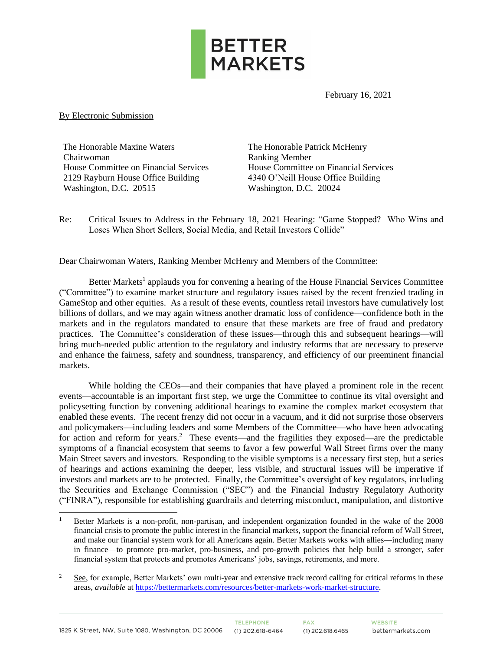

February 16, 2021

#### By Electronic Submission

The Honorable Maxine Waters Chairwoman House Committee on Financial Services 2129 Rayburn House Office Building Washington, D.C. 20515

The Honorable Patrick McHenry Ranking Member House Committee on Financial Services 4340 O'Neill House Office Building Washington, D.C. 20024

Re: Critical Issues to Address in the February 18, 2021 Hearing: "Game Stopped? Who Wins and Loses When Short Sellers, Social Media, and Retail Investors Collide"

Dear Chairwoman Waters, Ranking Member McHenry and Members of the Committee:

Better Markets<sup>1</sup> applauds you for convening a hearing of the House Financial Services Committee ("Committee") to examine market structure and regulatory issues raised by the recent frenzied trading in GameStop and other equities. As a result of these events, countless retail investors have cumulatively lost billions of dollars, and we may again witness another dramatic loss of confidence—confidence both in the markets and in the regulators mandated to ensure that these markets are free of fraud and predatory practices. The Committee's consideration of these issues—through this and subsequent hearings—will bring much-needed public attention to the regulatory and industry reforms that are necessary to preserve and enhance the fairness, safety and soundness, transparency, and efficiency of our preeminent financial markets.

While holding the CEOs—and their companies that have played a prominent role in the recent events—accountable is an important first step, we urge the Committee to continue its vital oversight and policysetting function by convening additional hearings to examine the complex market ecosystem that enabled these events. The recent frenzy did not occur in a vacuum, and it did not surprise those observers and policymakers—including leaders and some Members of the Committee—who have been advocating for action and reform for years.<sup>2</sup> These events—and the fragilities they exposed—are the predictable symptoms of a financial ecosystem that seems to favor a few powerful Wall Street firms over the many Main Street savers and investors. Responding to the visible symptoms is a necessary first step, but a series of hearings and actions examining the deeper, less visible, and structural issues will be imperative if investors and markets are to be protected. Finally, the Committee's oversight of key regulators, including the Securities and Exchange Commission ("SEC") and the Financial Industry Regulatory Authority ("FINRA"), responsible for establishing guardrails and deterring misconduct, manipulation, and distortive

<sup>1</sup> Better Markets is a non-profit, non-partisan, and independent organization founded in the wake of the 2008 financial crisis to promote the public interest in the financial markets, support the financial reform of Wall Street, and make our financial system work for all Americans again. Better Markets works with allies—including many in finance—to promote pro-market, pro-business, and pro-growth policies that help build a stronger, safer financial system that protects and promotes Americans' jobs, savings, retirements, and more.

<sup>&</sup>lt;sup>2</sup> See, for example, Better Markets' own multi-year and extensive track record calling for critical reforms in these areas, *available* at [https://bettermarkets.com/resources/better-markets-work-market-structure.](https://bettermarkets.com/resources/better-markets-work-market-structure)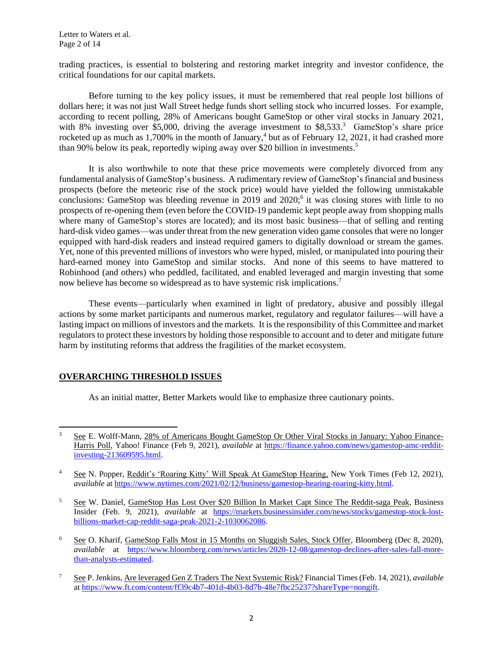trading practices, is essential to bolstering and restoring market integrity and investor confidence, the critical foundations for our capital markets.

Before turning to the key policy issues, it must be remembered that real people lost billions of dollars here; it was not just Wall Street hedge funds short selling stock who incurred losses. For example, according to recent polling, 28% of Americans bought GameStop or other viral stocks in January 2021, with 8% investing over \$5,000, driving the average investment to \$8,533.<sup>3</sup> GameStop's share price rocketed up as much as 1,700% in the month of January,<sup>4</sup> but as of February 12, 2021, it had crashed more than 90% below its peak, reportedly wiping away over \$20 billion in investments. 5

It is also worthwhile to note that these price movements were completely divorced from any fundamental analysis of GameStop's business. A rudimentary review of GameStop's financial and business prospects (before the meteoric rise of the stock price) would have yielded the following unmistakable conclusions: GameStop was bleeding revenue in 2019 and  $2020$ ; it was closing stores with little to no prospects of re-opening them (even before the COVID-19 pandemic kept people away from shopping malls where many of GameStop's stores are located); and its most basic business—that of selling and renting hard-disk video games—was under threat from the new generation video game consoles that were no longer equipped with hard-disk readers and instead required gamers to digitally download or stream the games. Yet, none of this prevented millions of investors who were hyped, misled, or manipulated into pouring their hard-earned money into GameStop and similar stocks. And none of this seems to have mattered to Robinhood (and others) who peddled, facilitated, and enabled leveraged and margin investing that some now believe has become so widespread as to have systemic risk implications.<sup>7</sup>

These events—particularly when examined in light of predatory, abusive and possibly illegal actions by some market participants and numerous market, regulatory and regulator failures—will have a lasting impact on millions of investors and the markets. It is the responsibility of this Committee and market regulators to protect these investors by holding those responsible to account and to deter and mitigate future harm by instituting reforms that address the fragilities of the market ecosystem.

### **OVERARCHING THRESHOLD ISSUES**

As an initial matter, Better Markets would like to emphasize three cautionary points.

<sup>3</sup> See E. Wolff-Mann, 28% of Americans Bought GameStop Or Other Viral Stocks in January: Yahoo Finance-Harris Poll, Yahoo! Finance (Feb 9, 2021), *available* at [https://finance.yahoo.com/news/gamestop-amc-reddit](https://finance.yahoo.com/news/gamestop-amc-reddit-investing-213609595.html)[investing-213609595.html.](https://finance.yahoo.com/news/gamestop-amc-reddit-investing-213609595.html)

<sup>&</sup>lt;sup>4</sup> See N. Popper, Reddit's 'Roaring Kitty' Will Speak At GameStop Hearing, New York Times (Feb 12, 2021), *available* a[t https://www.nytimes.com/2021/02/12/business/gamestop-hearing-roaring-kitty.html.](https://www.nytimes.com/2021/02/12/business/gamestop-hearing-roaring-kitty.html)

<sup>&</sup>lt;sup>5</sup> See W. Daniel, GameStop Has Lost Over \$20 Billion In Market Capt Since The Reddit-saga Peak, Business Insider (Feb. 9, 2021), *available* at [https://markets.businessinsider.com/news/stocks/gamestop-stock-lost](https://markets.businessinsider.com/news/stocks/gamestop-stock-lost-billions-market-cap-reddit-saga-peak-2021-2-1030062086)[billions-market-cap-reddit-saga-peak-2021-2-1030062086.](https://markets.businessinsider.com/news/stocks/gamestop-stock-lost-billions-market-cap-reddit-saga-peak-2021-2-1030062086) 

<sup>&</sup>lt;sup>6</sup> See O. Kharif, GameStop Falls Most in 15 Months on Sluggish Sales, Stock Offer, Bloomberg (Dec 8, 2020), *available* at [https://www.bloomberg.com/news/articles/2020-12-08/gamestop-declines-after-sales-fall-more](https://www.bloomberg.com/news/articles/2020-12-08/gamestop-declines-after-sales-fall-more-than-analysts-estimated)[than-analysts-estimated.](https://www.bloomberg.com/news/articles/2020-12-08/gamestop-declines-after-sales-fall-more-than-analysts-estimated) 

<sup>7</sup> See P. Jenkins, Are leveraged Gen Z Traders The Next Systemic Risk? Financial Times (Feb. 14, 2021), *available*  a[t https://www.ft.com/content/ff39c4b7-401d-4b03-8d7b-48e7fbc25237?shareType=nongift.](https://www.ft.com/content/ff39c4b7-401d-4b03-8d7b-48e7fbc25237?shareType=nongift)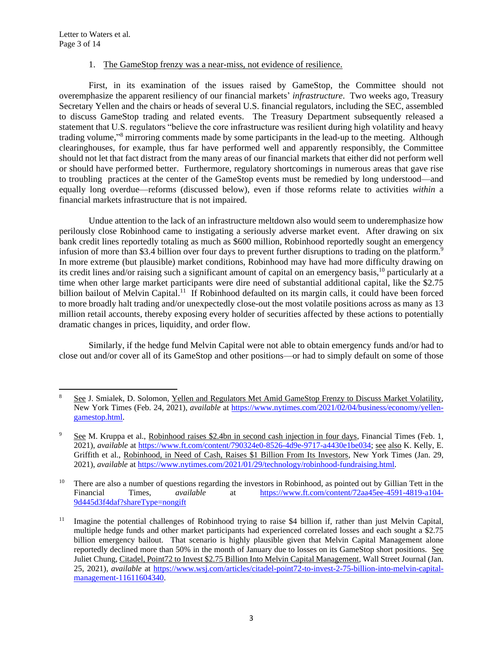#### 1. The GameStop frenzy was a near-miss, not evidence of resilience.

First, in its examination of the issues raised by GameStop, the Committee should not overemphasize the apparent resiliency of our financial markets' *infrastructure*. Two weeks ago, Treasury Secretary Yellen and the chairs or heads of several U.S. financial regulators, including the SEC, assembled to discuss GameStop trading and related events. The Treasury Department subsequently released a statement that U.S. regulators "believe the core infrastructure was resilient during high volatility and heavy trading volume," <sup>8</sup> mirroring comments made by some participants in the lead-up to the meeting. Although clearinghouses, for example, thus far have performed well and apparently responsibly, the Committee should not let that fact distract from the many areas of our financial markets that either did not perform well or should have performed better. Furthermore, regulatory shortcomings in numerous areas that gave rise to troubling practices at the center of the GameStop events must be remedied by long understood—and equally long overdue—reforms (discussed below), even if those reforms relate to activities *within* a financial markets infrastructure that is not impaired.

Undue attention to the lack of an infrastructure meltdown also would seem to underemphasize how perilously close Robinhood came to instigating a seriously adverse market event. After drawing on six bank credit lines reportedly totaling as much as \$600 million, Robinhood reportedly sought an emergency infusion of more than \$3.4 billion over four days to prevent further disruptions to trading on the platform. 9 In more extreme (but plausible) market conditions, Robinhood may have had more difficulty drawing on its credit lines and/or raising such a significant amount of capital on an emergency basis,<sup>10</sup> particularly at a time when other large market participants were dire need of substantial additional capital, like the \$2.75 billion bailout of Melvin Capital.<sup>11</sup> If Robinhood defaulted on its margin calls, it could have been forced to more broadly halt trading and/or unexpectedly close-out the most volatile positions across as many as 13 million retail accounts, thereby exposing every holder of securities affected by these actions to potentially dramatic changes in prices, liquidity, and order flow.

Similarly, if the hedge fund Melvin Capital were not able to obtain emergency funds and/or had to close out and/or cover all of its GameStop and other positions—or had to simply default on some of those

<sup>8</sup> See J. Smialek, D. Solomon, Yellen and Regulators Met Amid GameStop Frenzy to Discuss Market Volatility, New York Times (Feb. 24, 2021), *available* at [https://www.nytimes.com/2021/02/04/business/economy/yellen](https://www.nytimes.com/2021/02/04/business/economy/yellen-gamestop.html)[gamestop.html.](https://www.nytimes.com/2021/02/04/business/economy/yellen-gamestop.html)

<sup>9</sup> See M. Kruppa et al., Robinhood raises \$2.4bn in second cash injection in four days, Financial Times (Feb. 1, 2021), *available* at [https://www.ft.com/content/790324e0-8526-4d9e-9717-a4430e1be034;](https://www.ft.com/content/790324e0-8526-4d9e-9717-a4430e1be034) see also K. Kelly, E. Griffith et al., Robinhood, in Need of Cash, Raises \$1 Billion From Its Investors, New York Times (Jan. 29, 2021), *available* at [https://www.nytimes.com/2021/01/29/technology/robinhood-fundraising.html.](https://www.nytimes.com/2021/01/29/technology/robinhood-fundraising.html)

<sup>&</sup>lt;sup>10</sup> There are also a number of questions regarding the investors in Robinhood, as pointed out by Gillian Tett in the Financial Times, *available* at [https://www.ft.com/content/72aa45ee-4591-4819-a104-](https://www.ft.com/content/72aa45ee-4591-4819-a104-9d445d3f4daf?shareType=nongift) [9d445d3f4daf?shareType=nongift](https://www.ft.com/content/72aa45ee-4591-4819-a104-9d445d3f4daf?shareType=nongift)

<sup>&</sup>lt;sup>11</sup> Imagine the potential challenges of Robinhood trying to raise \$4 billion if, rather than just Melvin Capital, multiple hedge funds and other market participants had experienced correlated losses and each sought a \$2.75 billion emergency bailout. That scenario is highly plausible given that Melvin Capital Management alone reportedly declined more than 50% in the month of January due to losses on its GameStop short positions. See Juliet Chung, Citadel, Point72 to Invest \$2.75 Billion Into Melvin Capital Management, Wall Street Journal (Jan. 25, 2021), *available* at [https://www.wsj.com/articles/citadel-point72-to-invest-2-75-billion-into-melvin-capital](https://www.wsj.com/articles/citadel-point72-to-invest-2-75-billion-into-melvin-capital-management-11611604340)[management-11611604340.](https://www.wsj.com/articles/citadel-point72-to-invest-2-75-billion-into-melvin-capital-management-11611604340)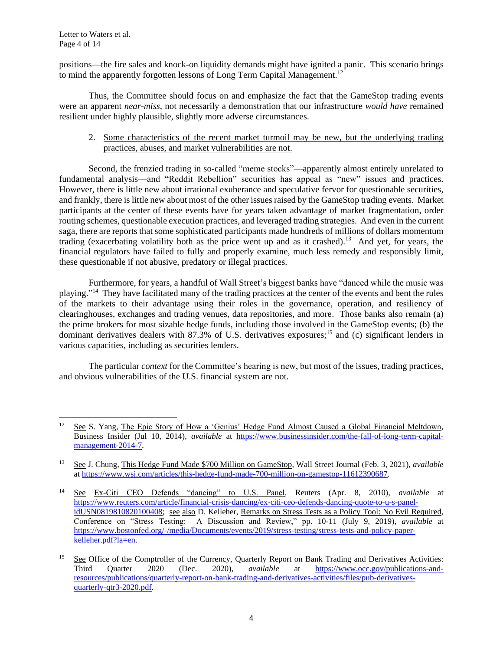positions—the fire sales and knock-on liquidity demands might have ignited a panic. This scenario brings to mind the apparently forgotten lessons of Long Term Capital Management.<sup>12</sup>

Thus, the Committee should focus on and emphasize the fact that the GameStop trading events were an apparent *near-miss*, not necessarily a demonstration that our infrastructure *would have* remained resilient under highly plausible, slightly more adverse circumstances.

### 2. Some characteristics of the recent market turmoil may be new, but the underlying trading practices, abuses, and market vulnerabilities are not.

Second, the frenzied trading in so-called "meme stocks"—apparently almost entirely unrelated to fundamental analysis—and "Reddit Rebellion" securities has appeal as "new" issues and practices. However, there is little new about irrational exuberance and speculative fervor for questionable securities, and frankly, there is little new about most of the other issues raised by the GameStop trading events. Market participants at the center of these events have for years taken advantage of market fragmentation, order routing schemes, questionable execution practices, and leveraged trading strategies. And even in the current saga, there are reports that some sophisticated participants made hundreds of millions of dollars momentum trading (exacerbating volatility both as the price went up and as it crashed).<sup>13</sup> And yet, for years, the financial regulators have failed to fully and properly examine, much less remedy and responsibly limit, these questionable if not abusive, predatory or illegal practices.

Furthermore, for years, a handful of Wall Street's biggest banks have "danced while the music was playing."<sup>14</sup> They have facilitated many of the trading practices at the center of the events and bent the rules of the markets to their advantage using their roles in the governance, operation, and resiliency of clearinghouses, exchanges and trading venues, data repositories, and more. Those banks also remain (a) the prime brokers for most sizable hedge funds, including those involved in the GameStop events; (b) the dominant derivatives dealers with 87.3% of U.S. derivatives exposures;<sup>15</sup> and (c) significant lenders in various capacities, including as securities lenders.

The particular *context* for the Committee's hearing is new, but most of the issues, trading practices, and obvious vulnerabilities of the U.S. financial system are not.

<sup>&</sup>lt;sup>12</sup> See S. Yang, The Epic Story of How a 'Genius' Hedge Fund Almost Caused a Global Financial Meltdown, Business Insider (Jul 10, 2014), *available* at [https://www.businessinsider.com/the-fall-of-long-term-capital](https://www.businessinsider.com/the-fall-of-long-term-capital-management-2014-7)[management-2014-7.](https://www.businessinsider.com/the-fall-of-long-term-capital-management-2014-7)

<sup>13</sup> See J. Chung, This Hedge Fund Made \$700 Million on GameStop, Wall Street Journal (Feb. 3, 2021), *available* a[t https://www.wsj.com/articles/this-hedge-fund-made-700-million-on-gamestop-11612390687.](https://www.wsj.com/articles/this-hedge-fund-made-700-million-on-gamestop-11612390687)

<sup>14</sup> See Ex-Citi CEO Defends "dancing" to U.S. Panel, Reuters (Apr. 8, 2010), *available* at [https://www.reuters.com/article/financial-crisis-dancing/ex-citi-ceo-defends-dancing-quote-to-u-s-panel](https://www.reuters.com/article/financial-crisis-dancing/ex-citi-ceo-defends-dancing-quote-to-u-s-panel-idUSN0819810820100408)[idUSN0819810820100408;](https://www.reuters.com/article/financial-crisis-dancing/ex-citi-ceo-defends-dancing-quote-to-u-s-panel-idUSN0819810820100408) see also D. Kelleher, Remarks on Stress Tests as a Policy Tool: No Evil Required, Conference on "Stress Testing: A Discussion and Review," pp. 10-11 (July 9, 2019), *available* at [https://www.bostonfed.org/-/media/Documents/events/2019/stress-testing/stress-tests-and-policy-paper](https://www.bostonfed.org/-/media/Documents/events/2019/stress-testing/stress-tests-and-policy-paper-kelleher.pdf?la=en)[kelleher.pdf?la=en.](https://www.bostonfed.org/-/media/Documents/events/2019/stress-testing/stress-tests-and-policy-paper-kelleher.pdf?la=en)

<sup>&</sup>lt;sup>15</sup> See Office of the Comptroller of the Currency, Quarterly Report on Bank Trading and Derivatives Activities: Third Quarter 2020 (Dec. 2020), *available* at [https://www.occ.gov/publications-and](https://www.occ.gov/publications-and-resources/publications/quarterly-report-on-bank-trading-and-derivatives-activities/files/pub-derivatives-quarterly-qtr3-2020.pdf)[resources/publications/quarterly-report-on-bank-trading-and-derivatives-activities/files/pub-derivatives](https://www.occ.gov/publications-and-resources/publications/quarterly-report-on-bank-trading-and-derivatives-activities/files/pub-derivatives-quarterly-qtr3-2020.pdf)[quarterly-qtr3-2020.pdf.](https://www.occ.gov/publications-and-resources/publications/quarterly-report-on-bank-trading-and-derivatives-activities/files/pub-derivatives-quarterly-qtr3-2020.pdf)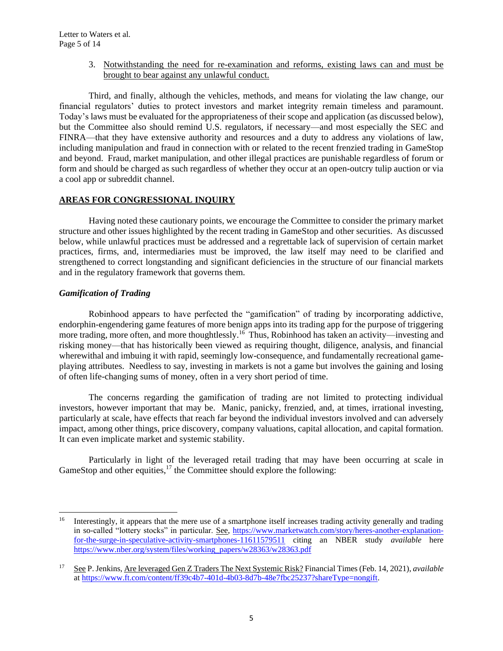3. Notwithstanding the need for re-examination and reforms, existing laws can and must be brought to bear against any unlawful conduct.

Third, and finally, although the vehicles, methods, and means for violating the law change, our financial regulators' duties to protect investors and market integrity remain timeless and paramount. Today's laws must be evaluated for the appropriateness of their scope and application (as discussed below), but the Committee also should remind U.S. regulators, if necessary—and most especially the SEC and FINRA—that they have extensive authority and resources and a duty to address any violations of law, including manipulation and fraud in connection with or related to the recent frenzied trading in GameStop and beyond. Fraud, market manipulation, and other illegal practices are punishable regardless of forum or form and should be charged as such regardless of whether they occur at an open-outcry tulip auction or via a cool app or subreddit channel.

### **AREAS FOR CONGRESSIONAL INQUIRY**

Having noted these cautionary points, we encourage the Committee to consider the primary market structure and other issues highlighted by the recent trading in GameStop and other securities. As discussed below, while unlawful practices must be addressed and a regrettable lack of supervision of certain market practices, firms, and, intermediaries must be improved, the law itself may need to be clarified and strengthened to correct longstanding and significant deficiencies in the structure of our financial markets and in the regulatory framework that governs them.

# *Gamification of Trading*

Robinhood appears to have perfected the "gamification" of trading by incorporating addictive, endorphin-engendering game features of more benign apps into its trading app for the purpose of triggering more trading, more often, and more thoughtlessly.<sup>16</sup> Thus, Robinhood has taken an activity—investing and risking money—that has historically been viewed as requiring thought, diligence, analysis, and financial wherewithal and imbuing it with rapid, seemingly low-consequence, and fundamentally recreational gameplaying attributes. Needless to say, investing in markets is not a game but involves the gaining and losing of often life-changing sums of money, often in a very short period of time.

The concerns regarding the gamification of trading are not limited to protecting individual investors, however important that may be. Manic, panicky, frenzied, and, at times, irrational investing, particularly at scale, have effects that reach far beyond the individual investors involved and can adversely impact, among other things, price discovery, company valuations, capital allocation, and capital formation. It can even implicate market and systemic stability.

Particularly in light of the leveraged retail trading that may have been occurring at scale in GameStop and other equities,  $17$  the Committee should explore the following:

<sup>&</sup>lt;sup>16</sup> Interestingly, it appears that the mere use of a smartphone itself increases trading activity generally and trading in so-called "lottery stocks" in particular. See, [https://www.marketwatch.com/story/heres-another-explanation](https://www.marketwatch.com/story/heres-another-explanation-for-the-surge-in-speculative-activity-smartphones-11611579511)[for-the-surge-in-speculative-activity-smartphones-11611579511](https://www.marketwatch.com/story/heres-another-explanation-for-the-surge-in-speculative-activity-smartphones-11611579511) citing an NBER study *available* here [https://www.nber.org/system/files/working\\_papers/w28363/w28363.pdf](https://www.nber.org/system/files/working_papers/w28363/w28363.pdf)

<sup>17</sup> See P. Jenkins, Are leveraged Gen Z Traders The Next Systemic Risk? Financial Times (Feb. 14, 2021), *available*  a[t https://www.ft.com/content/ff39c4b7-401d-4b03-8d7b-48e7fbc25237?shareType=nongift.](https://www.ft.com/content/ff39c4b7-401d-4b03-8d7b-48e7fbc25237?shareType=nongift)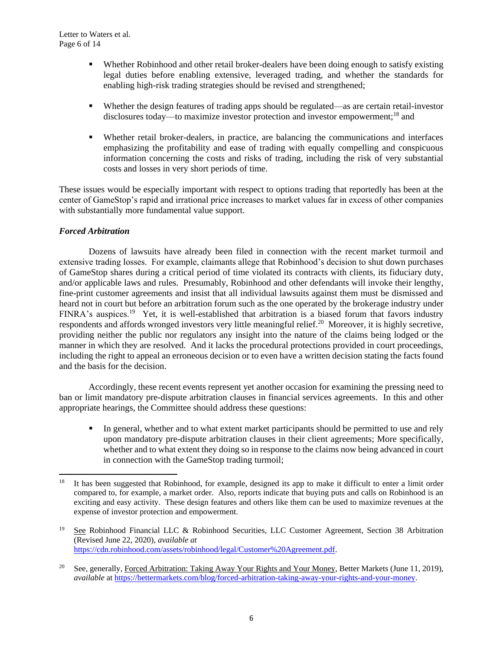- **•** Whether Robinhood and other retail broker-dealers have been doing enough to satisfy existing legal duties before enabling extensive, leveraged trading, and whether the standards for enabling high-risk trading strategies should be revised and strengthened;
- Whether the design features of trading apps should be regulated—as are certain retail-investor disclosures today—to maximize investor protection and investor empowerment;<sup>18</sup> and
- Whether retail broker-dealers, in practice, are balancing the communications and interfaces emphasizing the profitability and ease of trading with equally compelling and conspicuous information concerning the costs and risks of trading, including the risk of very substantial costs and losses in very short periods of time.

These issues would be especially important with respect to options trading that reportedly has been at the center of GameStop's rapid and irrational price increases to market values far in excess of other companies with substantially more fundamental value support.

# *Forced Arbitration*

Dozens of lawsuits have already been filed in connection with the recent market turmoil and extensive trading losses. For example, claimants allege that Robinhood's decision to shut down purchases of GameStop shares during a critical period of time violated its contracts with clients, its fiduciary duty, and/or applicable laws and rules. Presumably, Robinhood and other defendants will invoke their lengthy, fine-print customer agreements and insist that all individual lawsuits against them must be dismissed and heard not in court but before an arbitration forum such as the one operated by the brokerage industry under FINRA's auspices.<sup>19</sup> Yet, it is well-established that arbitration is a biased forum that favors industry respondents and affords wronged investors very little meaningful relief.<sup>20</sup> Moreover, it is highly secretive, providing neither the public nor regulators any insight into the nature of the claims being lodged or the manner in which they are resolved. And it lacks the procedural protections provided in court proceedings, including the right to appeal an erroneous decision or to even have a written decision stating the facts found and the basis for the decision.

Accordingly, these recent events represent yet another occasion for examining the pressing need to ban or limit mandatory pre-dispute arbitration clauses in financial services agreements. In this and other appropriate hearings, the Committee should address these questions:

**•** In general, whether and to what extent market participants should be permitted to use and rely upon mandatory pre-dispute arbitration clauses in their client agreements; More specifically, whether and to what extent they doing so in response to the claims now being advanced in court in connection with the GameStop trading turmoil;

<sup>18</sup> It has been suggested that Robinhood, for example, designed its app to make it difficult to enter a limit order compared to, for example, a market order. Also, reports indicate that buying puts and calls on Robinhood is an exciting and easy activity. These design features and others like them can be used to maximize revenues at the expense of investor protection and empowerment.

<sup>19</sup> See Robinhood Financial LLC & Robinhood Securities, LLC Customer Agreement, Section 38 Arbitration (Revised June 22, 2020), *available at* [https://cdn.robinhood.com/assets/robinhood/legal/Customer%20Agreement.pdf.](https://cdn.robinhood.com/assets/robinhood/legal/Customer%20Agreement.pdf)

<sup>&</sup>lt;sup>20</sup> See, generally, Forced Arbitration: Taking Away Your Rights and Your Money, Better Markets (June 11, 2019), *available* a[t https://bettermarkets.com/blog/forced-arbitration-taking-away-your-rights-and-your-money.](https://bettermarkets.com/blog/forced-arbitration-taking-away-your-rights-and-your-money)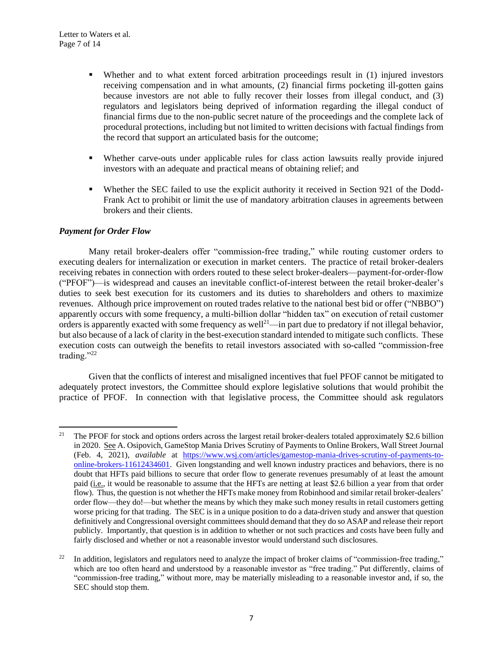- Whether and to what extent forced arbitration proceedings result in (1) injured investors receiving compensation and in what amounts, (2) financial firms pocketing ill-gotten gains because investors are not able to fully recover their losses from illegal conduct, and (3) regulators and legislators being deprived of information regarding the illegal conduct of financial firms due to the non-public secret nature of the proceedings and the complete lack of procedural protections, including but not limited to written decisions with factual findings from the record that support an articulated basis for the outcome;
- Whether carve-outs under applicable rules for class action lawsuits really provide injured investors with an adequate and practical means of obtaining relief; and
- Whether the SEC failed to use the explicit authority it received in Section 921 of the Dodd-Frank Act to prohibit or limit the use of mandatory arbitration clauses in agreements between brokers and their clients.

### *Payment for Order Flow*

Many retail broker-dealers offer "commission-free trading," while routing customer orders to executing dealers for internalization or execution in market centers. The practice of retail broker-dealers receiving rebates in connection with orders routed to these select broker-dealers—payment-for-order-flow ("PFOF")—is widespread and causes an inevitable conflict-of-interest between the retail broker-dealer's duties to seek best execution for its customers and its duties to shareholders and others to maximize revenues. Although price improvement on routed trades relative to the national best bid or offer ("NBBO") apparently occurs with some frequency, a multi-billion dollar "hidden tax" on execution of retail customer orders is apparently exacted with some frequency as well<sup>21</sup>—in part due to predatory if not illegal behavior, but also because of a lack of clarity in the best-execution standard intended to mitigate such conflicts. These execution costs can outweigh the benefits to retail investors associated with so-called "commission-free trading."<sup>22</sup>

Given that the conflicts of interest and misaligned incentives that fuel PFOF cannot be mitigated to adequately protect investors, the Committee should explore legislative solutions that would prohibit the practice of PFOF. In connection with that legislative process, the Committee should ask regulators

<sup>&</sup>lt;sup>21</sup> The PFOF for stock and options orders across the largest retail broker-dealers totaled approximately \$2.6 billion in 2020. See A. Osipovich, GameStop Mania Drives Scrutiny of Payments to Online Brokers, Wall Street Journal (Feb. 4, 2021), *available* at [https://www.wsj.com/articles/gamestop-mania-drives-scrutiny-of-payments-to](https://www.wsj.com/articles/gamestop-mania-drives-scrutiny-of-payments-to-online-brokers-11612434601)[online-brokers-11612434601.](https://www.wsj.com/articles/gamestop-mania-drives-scrutiny-of-payments-to-online-brokers-11612434601) Given longstanding and well known industry practices and behaviors, there is no doubt that HFTs paid billions to secure that order flow to generate revenues presumably of at least the amount paid (i.e., it would be reasonable to assume that the HFTs are netting at least \$2.6 billion a year from that order flow). Thus, the question is not whether the HFTs make money from Robinhood and similar retail broker-dealers' order flow—they do!—but whether the means by which they make such money results in retail customers getting worse pricing for that trading. The SEC is in a unique position to do a data-driven study and answer that question definitively and Congressional oversight committees should demand that they do so ASAP and release their report publicly. Importantly, that question is in addition to whether or not such practices and costs have been fully and fairly disclosed and whether or not a reasonable investor would understand such disclosures.

In addition, legislators and regulators need to analyze the impact of broker claims of "commission-free trading," which are too often heard and understood by a reasonable investor as "free trading." Put differently, claims of "commission-free trading," without more, may be materially misleading to a reasonable investor and, if so, the SEC should stop them.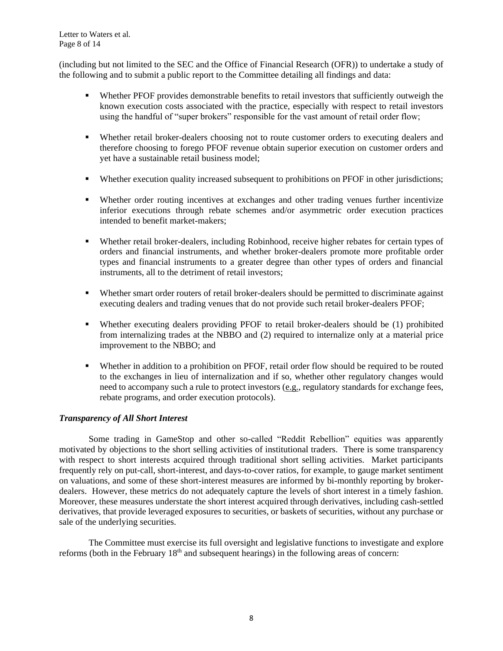Letter to Waters et al. Page 8 of 14

(including but not limited to the SEC and the Office of Financial Research (OFR)) to undertake a study of the following and to submit a public report to the Committee detailing all findings and data:

- Whether PFOF provides demonstrable benefits to retail investors that sufficiently outweigh the known execution costs associated with the practice, especially with respect to retail investors using the handful of "super brokers" responsible for the vast amount of retail order flow;
- Whether retail broker-dealers choosing not to route customer orders to executing dealers and therefore choosing to forego PFOF revenue obtain superior execution on customer orders and yet have a sustainable retail business model;
- Whether execution quality increased subsequent to prohibitions on PFOF in other jurisdictions;
- Whether order routing incentives at exchanges and other trading venues further incentivize inferior executions through rebate schemes and/or asymmetric order execution practices intended to benefit market-makers;
- Whether retail broker-dealers, including Robinhood, receive higher rebates for certain types of orders and financial instruments, and whether broker-dealers promote more profitable order types and financial instruments to a greater degree than other types of orders and financial instruments, all to the detriment of retail investors;
- Whether smart order routers of retail broker-dealers should be permitted to discriminate against executing dealers and trading venues that do not provide such retail broker-dealers PFOF;
- Whether executing dealers providing PFOF to retail broker-dealers should be (1) prohibited from internalizing trades at the NBBO and (2) required to internalize only at a material price improvement to the NBBO; and
- Whether in addition to a prohibition on PFOF, retail order flow should be required to be routed to the exchanges in lieu of internalization and if so, whether other regulatory changes would need to accompany such a rule to protect investors (e.g., regulatory standards for exchange fees, rebate programs, and order execution protocols).

### *Transparency of All Short Interest*

Some trading in GameStop and other so-called "Reddit Rebellion" equities was apparently motivated by objections to the short selling activities of institutional traders. There is some transparency with respect to short interests acquired through traditional short selling activities. Market participants frequently rely on put-call, short-interest, and days-to-cover ratios, for example, to gauge market sentiment on valuations, and some of these short-interest measures are informed by bi-monthly reporting by brokerdealers. However, these metrics do not adequately capture the levels of short interest in a timely fashion. Moreover, these measures understate the short interest acquired through derivatives, including cash-settled derivatives, that provide leveraged exposures to securities, or baskets of securities, without any purchase or sale of the underlying securities.

The Committee must exercise its full oversight and legislative functions to investigate and explore reforms (both in the February  $18<sup>th</sup>$  and subsequent hearings) in the following areas of concern: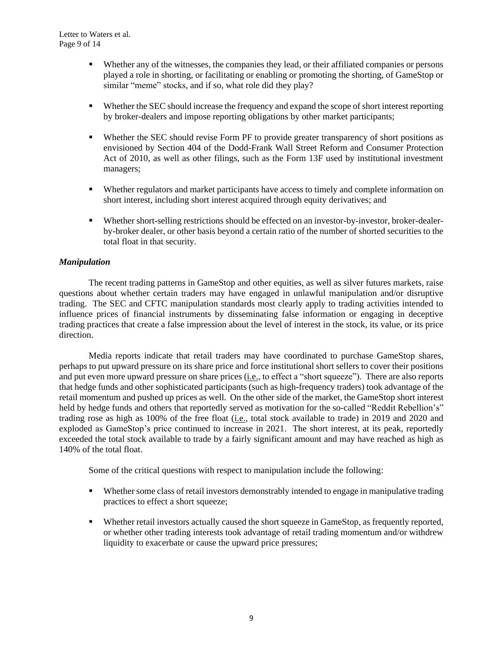- Whether any of the witnesses, the companies they lead, or their affiliated companies or persons played a role in shorting, or facilitating or enabling or promoting the shorting, of GameStop or similar "meme" stocks, and if so, what role did they play?
- Whether the SEC should increase the frequency and expand the scope of short interest reporting by broker-dealers and impose reporting obligations by other market participants;
- Whether the SEC should revise Form PF to provide greater transparency of short positions as envisioned by Section 404 of the Dodd-Frank Wall Street Reform and Consumer Protection Act of 2010, as well as other filings, such as the Form 13F used by institutional investment managers;
- Whether regulators and market participants have access to timely and complete information on short interest, including short interest acquired through equity derivatives; and
- Whether short-selling restrictions should be effected on an investor-by-investor, broker-dealerby-broker dealer, or other basis beyond a certain ratio of the number of shorted securities to the total float in that security.

### *Manipulation*

The recent trading patterns in GameStop and other equities, as well as silver futures markets, raise questions about whether certain traders may have engaged in unlawful manipulation and/or disruptive trading. The SEC and CFTC manipulation standards most clearly apply to trading activities intended to influence prices of financial instruments by disseminating false information or engaging in deceptive trading practices that create a false impression about the level of interest in the stock, its value, or its price direction.

Media reports indicate that retail traders may have coordinated to purchase GameStop shares, perhaps to put upward pressure on its share price and force institutional short sellers to cover their positions and put even more upward pressure on share prices (i.e., to effect a "short squeeze"). There are also reports that hedge funds and other sophisticated participants (such as high-frequency traders) took advantage of the retail momentum and pushed up prices as well. On the other side of the market, the GameStop short interest held by hedge funds and others that reportedly served as motivation for the so-called "Reddit Rebellion's" trading rose as high as 100% of the free float (i.e., total stock available to trade) in 2019 and 2020 and exploded as GameStop's price continued to increase in 2021. The short interest, at its peak, reportedly exceeded the total stock available to trade by a fairly significant amount and may have reached as high as 140% of the total float.

Some of the critical questions with respect to manipulation include the following:

- Whether some class of retail investors demonstrably intended to engage in manipulative trading practices to effect a short squeeze;
- Whether retail investors actually caused the short squeeze in GameStop, as frequently reported, or whether other trading interests took advantage of retail trading momentum and/or withdrew liquidity to exacerbate or cause the upward price pressures;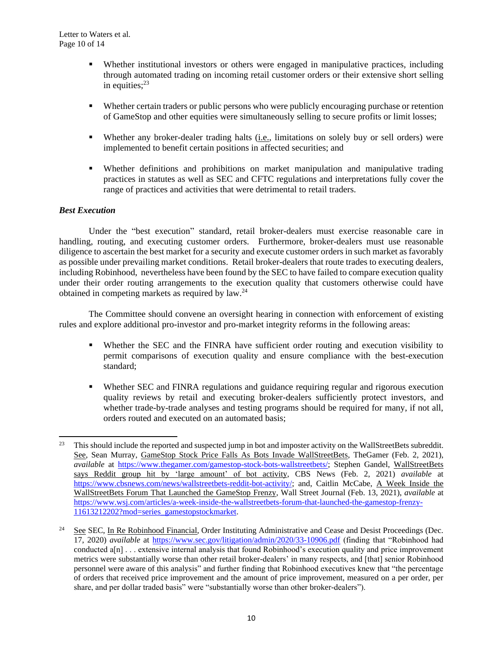- Whether institutional investors or others were engaged in manipulative practices, including through automated trading on incoming retail customer orders or their extensive short selling in equities; 23
- Whether certain traders or public persons who were publicly encouraging purchase or retention of GameStop and other equities were simultaneously selling to secure profits or limit losses;
- Whether any broker-dealer trading halts (i.e., limitations on solely buy or sell orders) were implemented to benefit certain positions in affected securities; and
- Whether definitions and prohibitions on market manipulation and manipulative trading practices in statutes as well as SEC and CFTC regulations and interpretations fully cover the range of practices and activities that were detrimental to retail traders.

# *Best Execution*

Under the "best execution" standard, retail broker-dealers must exercise reasonable care in handling, routing, and executing customer orders. Furthermore, broker-dealers must use reasonable diligence to ascertain the best market for a security and execute customer orders in such market as favorably as possible under prevailing market conditions. Retail broker-dealers that route trades to executing dealers, including Robinhood, nevertheless have been found by the SEC to have failed to compare execution quality under their order routing arrangements to the execution quality that customers otherwise could have obtained in competing markets as required by law.<sup>24</sup>

The Committee should convene an oversight hearing in connection with enforcement of existing rules and explore additional pro-investor and pro-market integrity reforms in the following areas:

- Whether the SEC and the FINRA have sufficient order routing and execution visibility to permit comparisons of execution quality and ensure compliance with the best-execution standard;
- Whether SEC and FINRA regulations and guidance requiring regular and rigorous execution quality reviews by retail and executing broker-dealers sufficiently protect investors, and whether trade-by-trade analyses and testing programs should be required for many, if not all, orders routed and executed on an automated basis;

<sup>&</sup>lt;sup>23</sup> This should include the reported and suspected jump in bot and imposter activity on the WallStreetBets subreddit. See, Sean Murray, GameStop Stock Price Falls As Bots Invade WallStreetBets, TheGamer (Feb. 2, 2021), *available* at [https://www.thegamer.com/gamestop-stock-bots-wallstreetbets/;](https://www.thegamer.com/gamestop-stock-bots-wallstreetbets/) Stephen Gandel, WallStreetBets says Reddit group hit by 'large amount' of bot activity, CBS News (Feb. 2, 2021) *available* at [https://www.cbsnews.com/news/wallstreetbets-reddit-bot-activity/;](https://www.cbsnews.com/news/wallstreetbets-reddit-bot-activity/) and, Caitlin McCabe, A Week Inside the WallStreetBets Forum That Launched the GameStop Frenzy, Wall Street Journal (Feb. 13, 2021), *available* at [https://www.wsj.com/articles/a-week-inside-the-wallstreetbets-forum-that-launched-the-gamestop-frenzy-](https://www.wsj.com/articles/a-week-inside-the-wallstreetbets-forum-that-launched-the-gamestop-frenzy-11613212202?mod=series_gamestopstockmarket)[11613212202?mod=series\\_gamestopstockmarket.](https://www.wsj.com/articles/a-week-inside-the-wallstreetbets-forum-that-launched-the-gamestop-frenzy-11613212202?mod=series_gamestopstockmarket)

<sup>&</sup>lt;sup>24</sup> See SEC, In Re Robinhood Financial, Order Instituting Administrative and Cease and Desist Proceedings (Dec. 17, 2020) *available* at <https://www.sec.gov/litigation/admin/2020/33-10906.pdf> (finding that "Robinhood had conducted a[n] . . . extensive internal analysis that found Robinhood's execution quality and price improvement metrics were substantially worse than other retail broker-dealers' in many respects, and [that] senior Robinhood personnel were aware of this analysis" and further finding that Robinhood executives knew that "the percentage of orders that received price improvement and the amount of price improvement, measured on a per order, per share, and per dollar traded basis" were "substantially worse than other broker-dealers").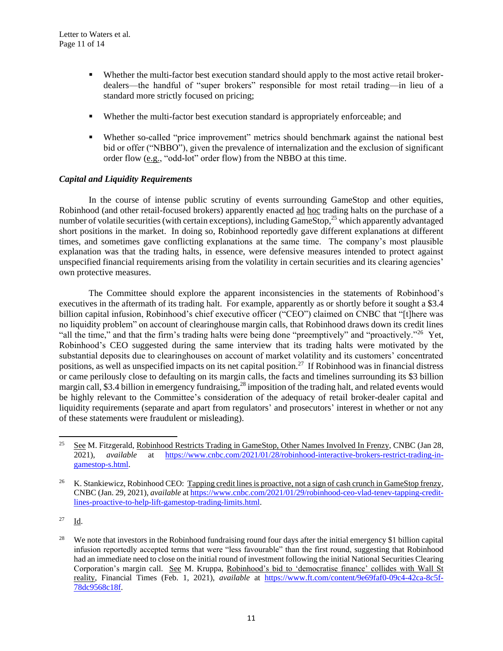- Whether the multi-factor best execution standard should apply to the most active retail brokerdealers—the handful of "super brokers" responsible for most retail trading—in lieu of a standard more strictly focused on pricing;
- Whether the multi-factor best execution standard is appropriately enforceable; and
- Whether so-called "price improvement" metrics should benchmark against the national best bid or offer ("NBBO"), given the prevalence of internalization and the exclusion of significant order flow (e.g., "odd-lot" order flow) from the NBBO at this time.

# *Capital and Liquidity Requirements*

In the course of intense public scrutiny of events surrounding GameStop and other equities, Robinhood (and other retail-focused brokers) apparently enacted ad hoc trading halts on the purchase of a number of volatile securities (with certain exceptions), including GameStop,<sup>25</sup> which apparently advantaged short positions in the market. In doing so, Robinhood reportedly gave different explanations at different times, and sometimes gave conflicting explanations at the same time. The company's most plausible explanation was that the trading halts, in essence, were defensive measures intended to protect against unspecified financial requirements arising from the volatility in certain securities and its clearing agencies' own protective measures.

The Committee should explore the apparent inconsistencies in the statements of Robinhood's executives in the aftermath of its trading halt. For example, apparently as or shortly before it sought a \$3.4 billion capital infusion, Robinhood's chief executive officer ("CEO") claimed on CNBC that "[t]here was no liquidity problem" on account of clearinghouse margin calls, that Robinhood draws down its credit lines "all the time," and that the firm's trading halts were being done "preemptively" and "proactively."<sup>26</sup> Yet, Robinhood's CEO suggested during the same interview that its trading halts were motivated by the substantial deposits due to clearinghouses on account of market volatility and its customers' concentrated positions, as well as unspecified impacts on its net capital position.<sup>27</sup> If Robinhood was in financial distress or came perilously close to defaulting on its margin calls, the facts and timelines surrounding its \$3 billion margin call, \$3.4 billion in emergency fundraising,<sup>28</sup> imposition of the trading halt, and related events would be highly relevant to the Committee's consideration of the adequacy of retail broker-dealer capital and liquidity requirements (separate and apart from regulators' and prosecutors' interest in whether or not any of these statements were fraudulent or misleading).

<sup>27</sup> Id.

<sup>&</sup>lt;sup>25</sup> See M. Fitzgerald, Robinhood Restricts Trading in GameStop, Other Names Involved In Frenzy, CNBC (Jan 28, 2021), *available* at [https://www.cnbc.com/2021/01/28/robinhood-interactive-brokers-restrict-trading-in](https://www.cnbc.com/2021/01/28/robinhood-interactive-brokers-restrict-trading-in-gamestop-s.html)[gamestop-s.html.](https://www.cnbc.com/2021/01/28/robinhood-interactive-brokers-restrict-trading-in-gamestop-s.html) 

<sup>&</sup>lt;sup>26</sup> K. Stankiewicz, Robinhood CEO: Tapping credit lines is proactive, not a sign of cash crunch in GameStop frenzy, CNBC (Jan. 29, 2021), *available* at [https://www.cnbc.com/2021/01/29/robinhood-ceo-vlad-tenev-tapping-credit](https://www.cnbc.com/2021/01/29/robinhood-ceo-vlad-tenev-tapping-credit-lines-proactive-to-help-lift-gamestop-trading-limits.html)[lines-proactive-to-help-lift-gamestop-trading-limits.html.](https://www.cnbc.com/2021/01/29/robinhood-ceo-vlad-tenev-tapping-credit-lines-proactive-to-help-lift-gamestop-trading-limits.html)

<sup>&</sup>lt;sup>28</sup> We note that investors in the Robinhood fundraising round four days after the initial emergency \$1 billion capital infusion reportedly accepted terms that were "less favourable" than the first round, suggesting that Robinhood had an immediate need to close on the initial round of investment following the initial National Securities Clearing Corporation's margin call. See M. Kruppa, Robinhood's bid to 'democratise finance' collides with Wall St reality, Financial Times (Feb. 1, 2021), *available* at [https://www.ft.com/content/9e69faf0-09c4-42ca-8c5f-](https://www.ft.com/content/9e69faf0-09c4-42ca-8c5f-78dc9568c18f)[78dc9568c18f.](https://www.ft.com/content/9e69faf0-09c4-42ca-8c5f-78dc9568c18f)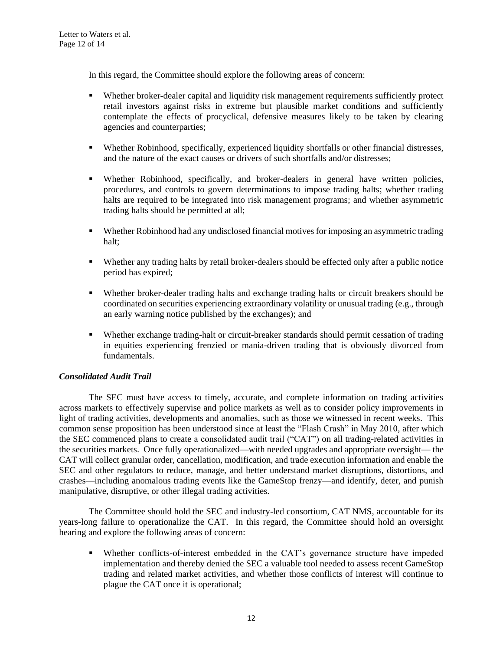In this regard, the Committee should explore the following areas of concern:

- Whether broker-dealer capital and liquidity risk management requirements sufficiently protect retail investors against risks in extreme but plausible market conditions and sufficiently contemplate the effects of procyclical, defensive measures likely to be taken by clearing agencies and counterparties;
- Whether Robinhood, specifically, experienced liquidity shortfalls or other financial distresses, and the nature of the exact causes or drivers of such shortfalls and/or distresses;
- Whether Robinhood, specifically, and broker-dealers in general have written policies, procedures, and controls to govern determinations to impose trading halts; whether trading halts are required to be integrated into risk management programs; and whether asymmetric trading halts should be permitted at all;
- Whether Robinhood had any undisclosed financial motives for imposing an asymmetric trading halt;
- Whether any trading halts by retail broker-dealers should be effected only after a public notice period has expired;
- Whether broker-dealer trading halts and exchange trading halts or circuit breakers should be coordinated on securities experiencing extraordinary volatility or unusual trading (e.g., through an early warning notice published by the exchanges); and
- Whether exchange trading-halt or circuit-breaker standards should permit cessation of trading in equities experiencing frenzied or mania-driven trading that is obviously divorced from fundamentals.

### *Consolidated Audit Trail*

The SEC must have access to timely, accurate, and complete information on trading activities across markets to effectively supervise and police markets as well as to consider policy improvements in light of trading activities, developments and anomalies, such as those we witnessed in recent weeks. This common sense proposition has been understood since at least the "Flash Crash" in May 2010, after which the SEC commenced plans to create a consolidated audit trail ("CAT") on all trading-related activities in the securities markets. Once fully operationalized—with needed upgrades and appropriate oversight— the CAT will collect granular order, cancellation, modification, and trade execution information and enable the SEC and other regulators to reduce, manage, and better understand market disruptions, distortions, and crashes—including anomalous trading events like the GameStop frenzy—and identify, deter, and punish manipulative, disruptive, or other illegal trading activities.

The Committee should hold the SEC and industry-led consortium, CAT NMS, accountable for its years-long failure to operationalize the CAT. In this regard, the Committee should hold an oversight hearing and explore the following areas of concern:

▪ Whether conflicts-of-interest embedded in the CAT's governance structure have impeded implementation and thereby denied the SEC a valuable tool needed to assess recent GameStop trading and related market activities, and whether those conflicts of interest will continue to plague the CAT once it is operational;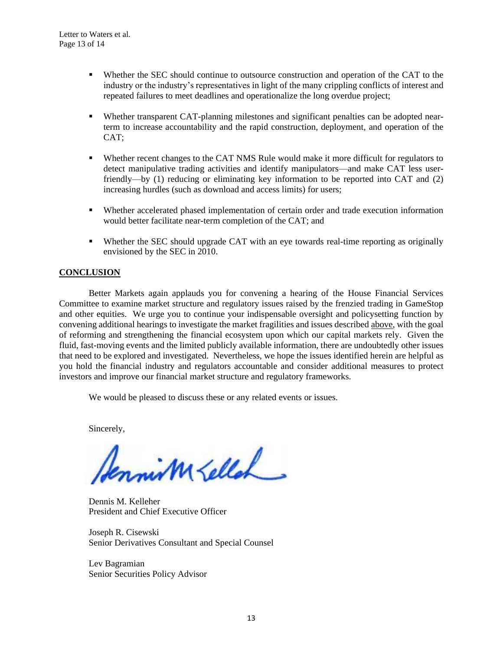- Whether the SEC should continue to outsource construction and operation of the CAT to the industry or the industry's representatives in light of the many crippling conflicts of interest and repeated failures to meet deadlines and operationalize the long overdue project;
- Whether transparent CAT-planning milestones and significant penalties can be adopted nearterm to increase accountability and the rapid construction, deployment, and operation of the CAT;
- Whether recent changes to the CAT NMS Rule would make it more difficult for regulators to detect manipulative trading activities and identify manipulators—and make CAT less userfriendly—by (1) reducing or eliminating key information to be reported into CAT and (2) increasing hurdles (such as download and access limits) for users;
- Whether accelerated phased implementation of certain order and trade execution information would better facilitate near-term completion of the CAT; and
- Whether the SEC should upgrade CAT with an eye towards real-time reporting as originally envisioned by the SEC in 2010.

# **CONCLUSION**

Better Markets again applauds you for convening a hearing of the House Financial Services Committee to examine market structure and regulatory issues raised by the frenzied trading in GameStop and other equities. We urge you to continue your indispensable oversight and policysetting function by convening additional hearings to investigate the market fragilities and issues described above, with the goal of reforming and strengthening the financial ecosystem upon which our capital markets rely. Given the fluid, fast-moving events and the limited publicly available information, there are undoubtedly other issues that need to be explored and investigated. Nevertheless, we hope the issues identified herein are helpful as you hold the financial industry and regulators accountable and consider additional measures to protect investors and improve our financial market structure and regulatory frameworks.

We would be pleased to discuss these or any related events or issues.

Sincerely,

Sennism Lellah

Dennis M. Kelleher President and Chief Executive Officer

Joseph R. Cisewski Senior Derivatives Consultant and Special Counsel

Lev Bagramian Senior Securities Policy Advisor